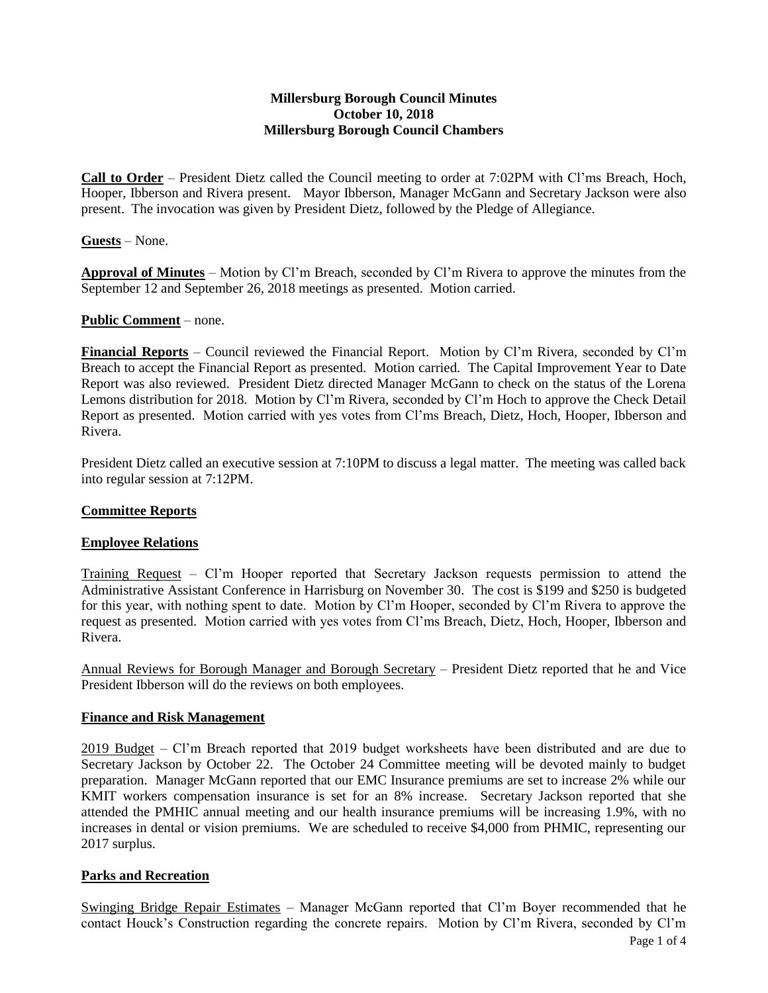### **Millersburg Borough Council Minutes October 10, 2018 Millersburg Borough Council Chambers**

**Call to Order** – President Dietz called the Council meeting to order at 7:02PM with Cl'ms Breach, Hoch, Hooper, Ibberson and Rivera present. Mayor Ibberson, Manager McGann and Secretary Jackson were also present. The invocation was given by President Dietz, followed by the Pledge of Allegiance.

### **Guests** – None.

**Approval of Minutes** – Motion by Cl'm Breach, seconded by Cl'm Rivera to approve the minutes from the September 12 and September 26, 2018 meetings as presented. Motion carried.

### **Public Comment** – none.

**Financial Reports** – Council reviewed the Financial Report. Motion by Cl'm Rivera, seconded by Cl'm Breach to accept the Financial Report as presented. Motion carried. The Capital Improvement Year to Date Report was also reviewed. President Dietz directed Manager McGann to check on the status of the Lorena Lemons distribution for 2018. Motion by Cl'm Rivera, seconded by Cl'm Hoch to approve the Check Detail Report as presented. Motion carried with yes votes from Cl'ms Breach, Dietz, Hoch, Hooper, Ibberson and Rivera.

President Dietz called an executive session at 7:10PM to discuss a legal matter. The meeting was called back into regular session at 7:12PM.

### **Committee Reports**

### **Employee Relations**

Training Request – Cl'm Hooper reported that Secretary Jackson requests permission to attend the Administrative Assistant Conference in Harrisburg on November 30. The cost is \$199 and \$250 is budgeted for this year, with nothing spent to date. Motion by Cl'm Hooper, seconded by Cl'm Rivera to approve the request as presented. Motion carried with yes votes from Cl'ms Breach, Dietz, Hoch, Hooper, Ibberson and Rivera.

Annual Reviews for Borough Manager and Borough Secretary – President Dietz reported that he and Vice President Ibberson will do the reviews on both employees.

### **Finance and Risk Management**

2019 Budget – Cl'm Breach reported that 2019 budget worksheets have been distributed and are due to Secretary Jackson by October 22. The October 24 Committee meeting will be devoted mainly to budget preparation. Manager McGann reported that our EMC Insurance premiums are set to increase 2% while our KMIT workers compensation insurance is set for an 8% increase. Secretary Jackson reported that she attended the PMHIC annual meeting and our health insurance premiums will be increasing 1.9%, with no increases in dental or vision premiums. We are scheduled to receive \$4,000 from PHMIC, representing our 2017 surplus.

### **Parks and Recreation**

Swinging Bridge Repair Estimates – Manager McGann reported that Cl'm Boyer recommended that he contact Houck's Construction regarding the concrete repairs. Motion by Cl'm Rivera, seconded by Cl'm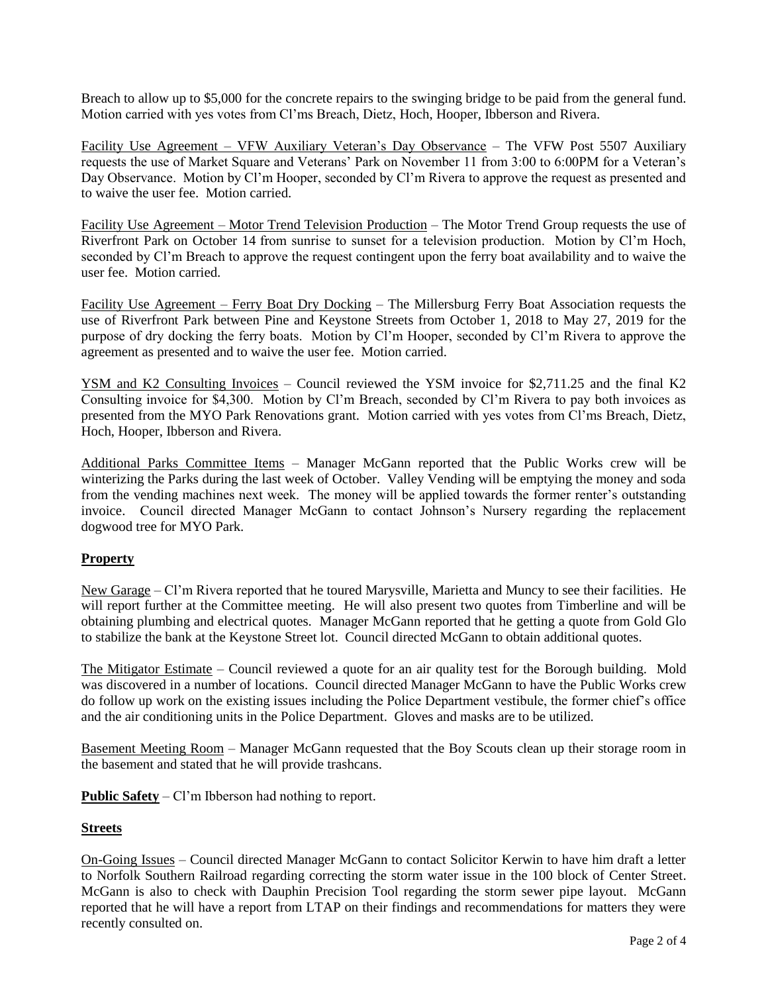Breach to allow up to \$5,000 for the concrete repairs to the swinging bridge to be paid from the general fund. Motion carried with yes votes from Cl'ms Breach, Dietz, Hoch, Hooper, Ibberson and Rivera.

Facility Use Agreement – VFW Auxiliary Veteran's Day Observance – The VFW Post 5507 Auxiliary requests the use of Market Square and Veterans' Park on November 11 from 3:00 to 6:00PM for a Veteran's Day Observance. Motion by Cl'm Hooper, seconded by Cl'm Rivera to approve the request as presented and to waive the user fee. Motion carried.

Facility Use Agreement – Motor Trend Television Production – The Motor Trend Group requests the use of Riverfront Park on October 14 from sunrise to sunset for a television production. Motion by Cl'm Hoch, seconded by Cl'm Breach to approve the request contingent upon the ferry boat availability and to waive the user fee. Motion carried.

Facility Use Agreement – Ferry Boat Dry Docking – The Millersburg Ferry Boat Association requests the use of Riverfront Park between Pine and Keystone Streets from October 1, 2018 to May 27, 2019 for the purpose of dry docking the ferry boats. Motion by Cl'm Hooper, seconded by Cl'm Rivera to approve the agreement as presented and to waive the user fee. Motion carried.

YSM and K2 Consulting Invoices – Council reviewed the YSM invoice for \$2,711.25 and the final K2 Consulting invoice for \$4,300. Motion by Cl'm Breach, seconded by Cl'm Rivera to pay both invoices as presented from the MYO Park Renovations grant. Motion carried with yes votes from Cl'ms Breach, Dietz, Hoch, Hooper, Ibberson and Rivera.

Additional Parks Committee Items – Manager McGann reported that the Public Works crew will be winterizing the Parks during the last week of October. Valley Vending will be emptying the money and soda from the vending machines next week. The money will be applied towards the former renter's outstanding invoice. Council directed Manager McGann to contact Johnson's Nursery regarding the replacement dogwood tree for MYO Park.

# **Property**

New Garage – Cl'm Rivera reported that he toured Marysville, Marietta and Muncy to see their facilities. He will report further at the Committee meeting. He will also present two quotes from Timberline and will be obtaining plumbing and electrical quotes. Manager McGann reported that he getting a quote from Gold Glo to stabilize the bank at the Keystone Street lot. Council directed McGann to obtain additional quotes.

The Mitigator Estimate – Council reviewed a quote for an air quality test for the Borough building. Mold was discovered in a number of locations. Council directed Manager McGann to have the Public Works crew do follow up work on the existing issues including the Police Department vestibule, the former chief's office and the air conditioning units in the Police Department. Gloves and masks are to be utilized.

Basement Meeting Room – Manager McGann requested that the Boy Scouts clean up their storage room in the basement and stated that he will provide trashcans.

**Public Safety** – Cl'm Ibberson had nothing to report.

# **Streets**

On-Going Issues – Council directed Manager McGann to contact Solicitor Kerwin to have him draft a letter to Norfolk Southern Railroad regarding correcting the storm water issue in the 100 block of Center Street. McGann is also to check with Dauphin Precision Tool regarding the storm sewer pipe layout. McGann reported that he will have a report from LTAP on their findings and recommendations for matters they were recently consulted on.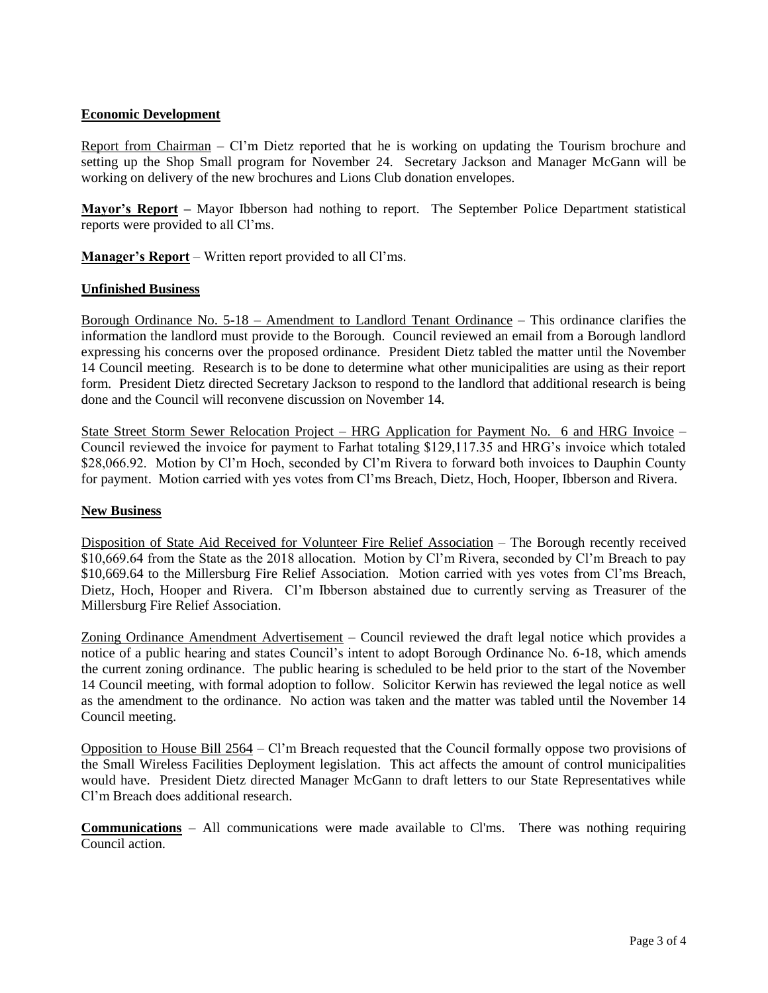### **Economic Development**

Report from Chairman – Cl'm Dietz reported that he is working on updating the Tourism brochure and setting up the Shop Small program for November 24. Secretary Jackson and Manager McGann will be working on delivery of the new brochures and Lions Club donation envelopes.

**Mayor's Report –** Mayor Ibberson had nothing to report. The September Police Department statistical reports were provided to all Cl'ms.

**Manager's Report** – Written report provided to all Cl'ms.

### **Unfinished Business**

Borough Ordinance No. 5-18 – Amendment to Landlord Tenant Ordinance – This ordinance clarifies the information the landlord must provide to the Borough. Council reviewed an email from a Borough landlord expressing his concerns over the proposed ordinance. President Dietz tabled the matter until the November 14 Council meeting. Research is to be done to determine what other municipalities are using as their report form. President Dietz directed Secretary Jackson to respond to the landlord that additional research is being done and the Council will reconvene discussion on November 14.

State Street Storm Sewer Relocation Project – HRG Application for Payment No. 6 and HRG Invoice – Council reviewed the invoice for payment to Farhat totaling \$129,117.35 and HRG's invoice which totaled \$28,066.92. Motion by Cl'm Hoch, seconded by Cl'm Rivera to forward both invoices to Dauphin County for payment. Motion carried with yes votes from Cl'ms Breach, Dietz, Hoch, Hooper, Ibberson and Rivera.

### **New Business**

Disposition of State Aid Received for Volunteer Fire Relief Association – The Borough recently received \$10,669.64 from the State as the 2018 allocation. Motion by Cl'm Rivera, seconded by Cl'm Breach to pay \$10,669.64 to the Millersburg Fire Relief Association. Motion carried with yes votes from Cl'ms Breach, Dietz, Hoch, Hooper and Rivera. Cl'm Ibberson abstained due to currently serving as Treasurer of the Millersburg Fire Relief Association.

Zoning Ordinance Amendment Advertisement – Council reviewed the draft legal notice which provides a notice of a public hearing and states Council's intent to adopt Borough Ordinance No. 6-18, which amends the current zoning ordinance. The public hearing is scheduled to be held prior to the start of the November 14 Council meeting, with formal adoption to follow. Solicitor Kerwin has reviewed the legal notice as well as the amendment to the ordinance. No action was taken and the matter was tabled until the November 14 Council meeting.

Opposition to House Bill 2564 – Cl'm Breach requested that the Council formally oppose two provisions of the Small Wireless Facilities Deployment legislation. This act affects the amount of control municipalities would have. President Dietz directed Manager McGann to draft letters to our State Representatives while Cl'm Breach does additional research.

**Communications** – All communications were made available to Cl'ms. There was nothing requiring Council action.